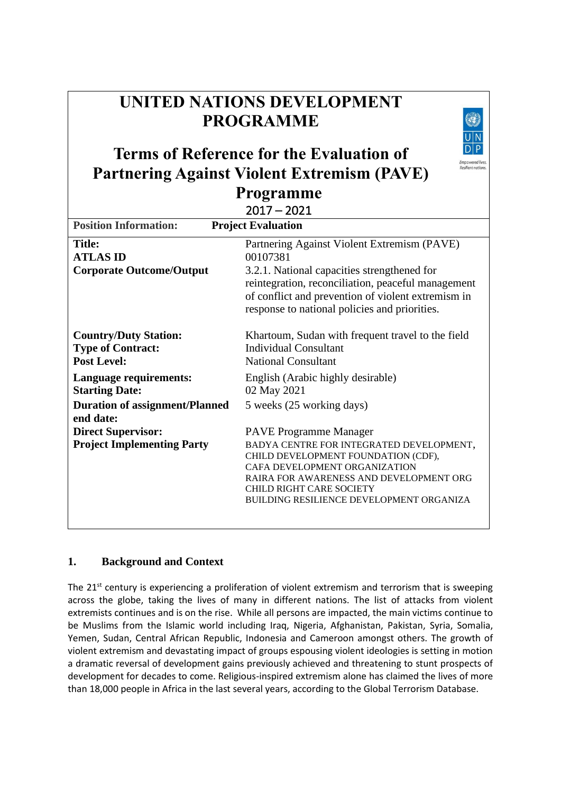# **UNITED NATIONS DEVELOPMENT PROGRAMME**

# **Terms of Reference for the Evaluation of Partnering Against Violent Extremism (PAVE) Programme**

|                                                                                | $2017 - 2021$                                                                                                                                                                                                                                                        |  |  |  |  |
|--------------------------------------------------------------------------------|----------------------------------------------------------------------------------------------------------------------------------------------------------------------------------------------------------------------------------------------------------------------|--|--|--|--|
| <b>Position Information:</b><br><b>Project Evaluation</b>                      |                                                                                                                                                                                                                                                                      |  |  |  |  |
| <b>Title:</b><br><b>ATLAS ID</b><br><b>Corporate Outcome/Output</b>            | Partnering Against Violent Extremism (PAVE)<br>00107381<br>3.2.1. National capacities strengthened for<br>reintegration, reconciliation, peaceful management<br>of conflict and prevention of violent extremism in<br>response to national policies and priorities.  |  |  |  |  |
| <b>Country/Duty Station:</b><br><b>Type of Contract:</b><br><b>Post Level:</b> | Khartoum, Sudan with frequent travel to the field<br><b>Individual Consultant</b><br><b>National Consultant</b>                                                                                                                                                      |  |  |  |  |
| Language requirements:<br><b>Starting Date:</b>                                | English (Arabic highly desirable)<br>02 May 2021                                                                                                                                                                                                                     |  |  |  |  |
| <b>Duration of assignment/Planned</b><br>end date:                             | 5 weeks (25 working days)                                                                                                                                                                                                                                            |  |  |  |  |
| <b>Direct Supervisor:</b><br><b>Project Implementing Party</b>                 | <b>PAVE Programme Manager</b><br>BADYA CENTRE FOR INTEGRATED DEVELOPMENT,<br>CHILD DEVELOPMENT FOUNDATION (CDF),<br>CAFA DEVELOPMENT ORGANIZATION<br>RAIRA FOR AWARENESS AND DEVELOPMENT ORG<br>CHILD RIGHT CARE SOCIETY<br>BUILDING RESILIENCE DEVELOPMENT ORGANIZA |  |  |  |  |

# **1. Background and Context**

The 21<sup>st</sup> century is experiencing a proliferation of violent extremism and terrorism that is sweeping across the globe, taking the lives of many in different nations. The list of attacks from violent extremists continues and is on the rise. While all persons are impacted, the main victims continue to be Muslims from the Islamic world including Iraq, Nigeria, Afghanistan, Pakistan, Syria, Somalia, Yemen, Sudan, Central African Republic, Indonesia and Cameroon amongst others. The growth of violent extremism and devastating impact of groups espousing violent ideologies is setting in motion a dramatic reversal of development gains previously achieved and threatening to stunt prospects of development for decades to come. Religious-inspired extremism alone has claimed the lives of more than 18,000 people in Africa in the last several years, according to the Global Terrorism Database.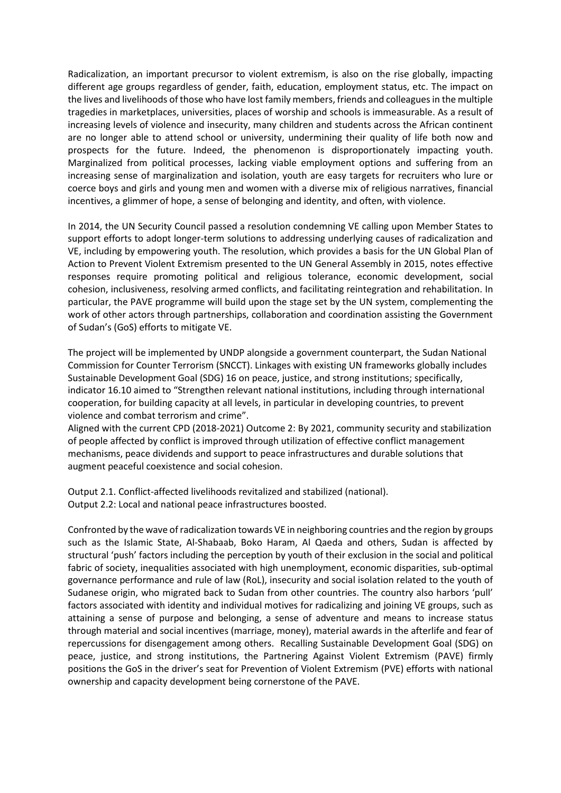Radicalization, an important precursor to violent extremism, is also on the rise globally, impacting different age groups regardless of gender, faith, education, employment status, etc. The impact on the lives and livelihoods of those who have lost family members, friends and colleagues in the multiple tragedies in marketplaces, universities, places of worship and schools is immeasurable. As a result of increasing levels of violence and insecurity, many children and students across the African continent are no longer able to attend school or university, undermining their quality of life both now and prospects for the future. Indeed, the phenomenon is disproportionately impacting youth. Marginalized from political processes, lacking viable employment options and suffering from an increasing sense of marginalization and isolation, youth are easy targets for recruiters who lure or coerce boys and girls and young men and women with a diverse mix of religious narratives, financial incentives, a glimmer of hope, a sense of belonging and identity, and often, with violence.

In 2014, the UN Security Council passed a resolution condemning VE calling upon Member States to support efforts to adopt longer-term solutions to addressing underlying causes of radicalization and VE, including by empowering youth. The resolution, which provides a basis for the UN Global Plan of Action to Prevent Violent Extremism presented to the UN General Assembly in 2015, notes effective responses require promoting political and religious tolerance, economic development, social cohesion, inclusiveness, resolving armed conflicts, and facilitating reintegration and rehabilitation. In particular, the PAVE programme will build upon the stage set by the UN system, complementing the work of other actors through partnerships, collaboration and coordination assisting the Government of Sudan's (GoS) efforts to mitigate VE.

The project will be implemented by UNDP alongside a government counterpart, the Sudan National Commission for Counter Terrorism (SNCCT). Linkages with existing UN frameworks globally includes Sustainable Development Goal (SDG) 16 on peace, justice, and strong institutions; specifically, indicator 16.10 aimed to "Strengthen relevant national institutions, including through international cooperation, for building capacity at all levels, in particular in developing countries, to prevent violence and combat terrorism and crime".

Aligned with the current CPD (2018-2021) Outcome 2: By 2021, community security and stabilization of people affected by conflict is improved through utilization of effective conflict management mechanisms, peace dividends and support to peace infrastructures and durable solutions that augment peaceful coexistence and social cohesion.

Output 2.1. Conflict-affected livelihoods revitalized and stabilized (national). Output 2.2: Local and national peace infrastructures boosted.

Confronted by the wave of radicalization towards VE in neighboring countries and the region by groups such as the Islamic State, Al-Shabaab, Boko Haram, Al Qaeda and others, Sudan is affected by structural 'push' factors including the perception by youth of their exclusion in the social and political fabric of society, inequalities associated with high unemployment, economic disparities, sub-optimal governance performance and rule of law (RoL), insecurity and social isolation related to the youth of Sudanese origin, who migrated back to Sudan from other countries. The country also harbors 'pull' factors associated with identity and individual motives for radicalizing and joining VE groups, such as attaining a sense of purpose and belonging, a sense of adventure and means to increase status through material and social incentives (marriage, money), material awards in the afterlife and fear of repercussions for disengagement among others. Recalling Sustainable Development Goal (SDG) on peace, justice, and strong institutions, the Partnering Against Violent Extremism (PAVE) firmly positions the GoS in the driver's seat for Prevention of Violent Extremism (PVE) efforts with national ownership and capacity development being cornerstone of the PAVE.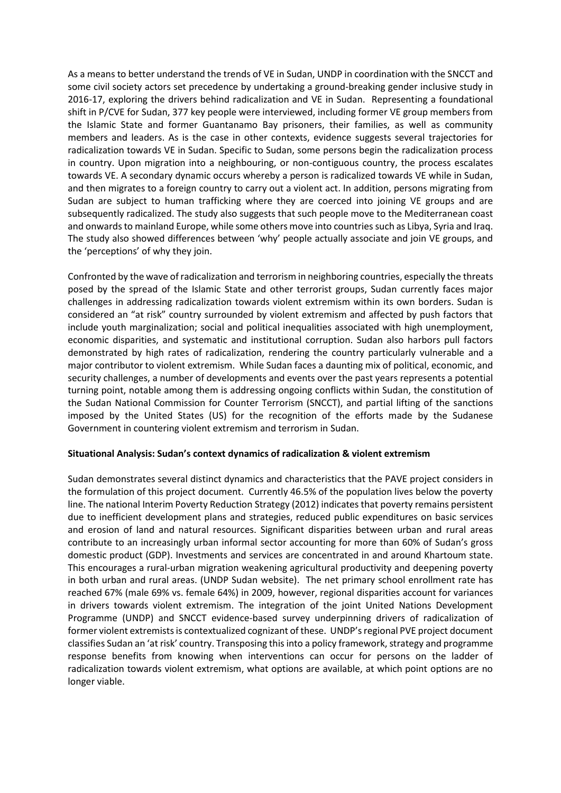As a means to better understand the trends of VE in Sudan, UNDP in coordination with the SNCCT and some civil society actors set precedence by undertaking a ground-breaking gender inclusive study in 2016-17, exploring the drivers behind radicalization and VE in Sudan. Representing a foundational shift in P/CVE for Sudan, 377 key people were interviewed, including former VE group members from the Islamic State and former Guantanamo Bay prisoners, their families, as well as community members and leaders. As is the case in other contexts, evidence suggests several trajectories for radicalization towards VE in Sudan. Specific to Sudan, some persons begin the radicalization process in country. Upon migration into a neighbouring, or non-contiguous country, the process escalates towards VE. A secondary dynamic occurs whereby a person is radicalized towards VE while in Sudan, and then migrates to a foreign country to carry out a violent act. In addition, persons migrating from Sudan are subject to human trafficking where they are coerced into joining VE groups and are subsequently radicalized. The study also suggests that such people move to the Mediterranean coast and onwards to mainland Europe, while some others move into countries such as Libya, Syria and Iraq. The study also showed differences between 'why' people actually associate and join VE groups, and the 'perceptions' of why they join.

Confronted by the wave of radicalization and terrorism in neighboring countries, especially the threats posed by the spread of the Islamic State and other terrorist groups, Sudan currently faces major challenges in addressing radicalization towards violent extremism within its own borders. Sudan is considered an "at risk" country surrounded by violent extremism and affected by push factors that include youth marginalization; social and political inequalities associated with high unemployment, economic disparities, and systematic and institutional corruption. Sudan also harbors pull factors demonstrated by high rates of radicalization, rendering the country particularly vulnerable and a major contributor to violent extremism. While Sudan faces a daunting mix of political, economic, and security challenges, a number of developments and events over the past years represents a potential turning point, notable among them is addressing ongoing conflicts within Sudan, the constitution of the Sudan National Commission for Counter Terrorism (SNCCT), and partial lifting of the sanctions imposed by the United States (US) for the recognition of the efforts made by the Sudanese Government in countering violent extremism and terrorism in Sudan.

#### **Situational Analysis: Sudan's context dynamics of radicalization & violent extremism**

Sudan demonstrates several distinct dynamics and characteristics that the PAVE project considers in the formulation of this project document. Currently 46.5% of the population lives below the poverty line. The national Interim Poverty Reduction Strategy (2012) indicates that poverty remains persistent due to inefficient development plans and strategies, reduced public expenditures on basic services and erosion of land and natural resources. Significant disparities between urban and rural areas contribute to an increasingly urban informal sector accounting for more than 60% of Sudan's gross domestic product (GDP). Investments and services are concentrated in and around Khartoum state. This encourages a rural-urban migration weakening agricultural productivity and deepening poverty in both urban and rural areas. (UNDP Sudan website). The net primary school enrollment rate has reached 67% (male 69% vs. female 64%) in 2009, however, regional disparities account for variances in drivers towards violent extremism. The integration of the joint United Nations Development Programme (UNDP) and SNCCT evidence-based survey underpinning drivers of radicalization of former violent extremists is contextualized cognizant of these. UNDP's regional PVE project document classifies Sudan an 'at risk' country. Transposing this into a policy framework, strategy and programme response benefits from knowing when interventions can occur for persons on the ladder of radicalization towards violent extremism, what options are available, at which point options are no longer viable.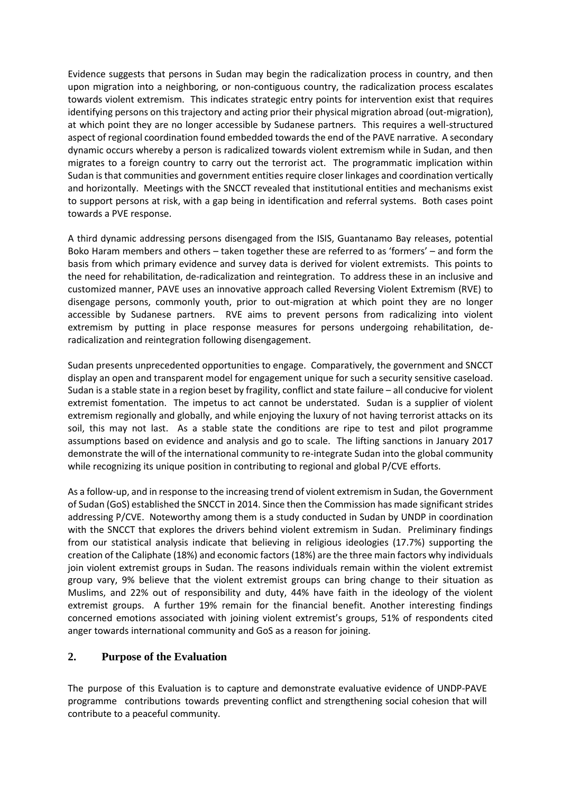Evidence suggests that persons in Sudan may begin the radicalization process in country, and then upon migration into a neighboring, or non-contiguous country, the radicalization process escalates towards violent extremism. This indicates strategic entry points for intervention exist that requires identifying persons on this trajectory and acting prior their physical migration abroad (out-migration), at which point they are no longer accessible by Sudanese partners. This requires a well-structured aspect of regional coordination found embedded towards the end of the PAVE narrative. A secondary dynamic occurs whereby a person is radicalized towards violent extremism while in Sudan, and then migrates to a foreign country to carry out the terrorist act. The programmatic implication within Sudan is that communities and government entities require closer linkages and coordination vertically and horizontally. Meetings with the SNCCT revealed that institutional entities and mechanisms exist to support persons at risk, with a gap being in identification and referral systems. Both cases point towards a PVE response.

A third dynamic addressing persons disengaged from the ISIS, Guantanamo Bay releases, potential Boko Haram members and others – taken together these are referred to as 'formers' – and form the basis from which primary evidence and survey data is derived for violent extremists. This points to the need for rehabilitation, de-radicalization and reintegration. To address these in an inclusive and customized manner, PAVE uses an innovative approach called Reversing Violent Extremism (RVE) to disengage persons, commonly youth, prior to out-migration at which point they are no longer accessible by Sudanese partners. RVE aims to prevent persons from radicalizing into violent extremism by putting in place response measures for persons undergoing rehabilitation, deradicalization and reintegration following disengagement.

Sudan presents unprecedented opportunities to engage. Comparatively, the government and SNCCT display an open and transparent model for engagement unique for such a security sensitive caseload. Sudan is a stable state in a region beset by fragility, conflict and state failure – all conducive for violent extremist fomentation. The impetus to act cannot be understated. Sudan is a supplier of violent extremism regionally and globally, and while enjoying the luxury of not having terrorist attacks on its soil, this may not last. As a stable state the conditions are ripe to test and pilot programme assumptions based on evidence and analysis and go to scale. The lifting sanctions in January 2017 demonstrate the will of the international community to re-integrate Sudan into the global community while recognizing its unique position in contributing to regional and global P/CVE efforts.

As a follow-up, and in response to the increasing trend of violent extremism in Sudan, the Government of Sudan (GoS) established the SNCCT in 2014. Since then the Commission has made significant strides addressing P/CVE. Noteworthy among them is a study conducted in Sudan by UNDP in coordination with the SNCCT that explores the drivers behind violent extremism in Sudan. Preliminary findings from our statistical analysis indicate that believing in religious ideologies (17.7%) supporting the creation of the Caliphate (18%) and economic factors (18%) are the three main factors why individuals join violent extremist groups in Sudan. The reasons individuals remain within the violent extremist group vary, 9% believe that the violent extremist groups can bring change to their situation as Muslims, and 22% out of responsibility and duty, 44% have faith in the ideology of the violent extremist groups. A further 19% remain for the financial benefit. Another interesting findings concerned emotions associated with joining violent extremist's groups, 51% of respondents cited anger towards international community and GoS as a reason for joining.

## **2. Purpose of the Evaluation**

The purpose of this Evaluation is to capture and demonstrate evaluative evidence of UNDP-PAVE programme contributions towards preventing conflict and strengthening social cohesion that will contribute to a peaceful community.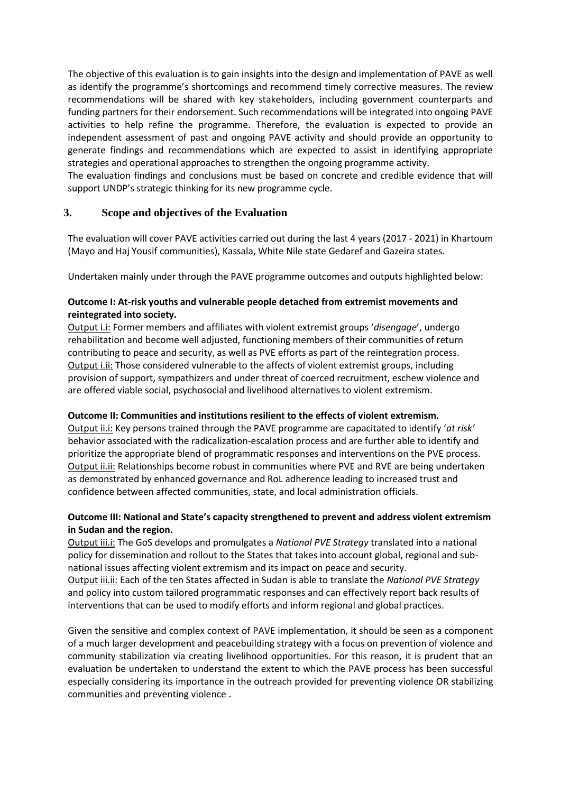The objective of this evaluation is to gain insights into the design and implementation of PAVE as well as identify the programme's shortcomings and recommend timely corrective measures. The review recommendations will be shared with key stakeholders, including government counterparts and funding partners for their endorsement. Such recommendations will be integrated into ongoing PAVE activities to help refine the programme. Therefore, the evaluation is expected to provide an independent assessment of past and ongoing PAVE activity and should provide an opportunity to generate findings and recommendations which are expected to assist in identifying appropriate strategies and operational approaches to strengthen the ongoing programme activity.

The evaluation findings and conclusions must be based on concrete and credible evidence that will support UNDP's strategic thinking for its new programme cycle.

## **3. Scope and objectives of the Evaluation**

The evaluation will cover PAVE activities carried out during the last 4 years (2017 - 2021) in Khartoum (Mayo and Haj Yousif communities), Kassala, White Nile state Gedaref and Gazeira states.

Undertaken mainly under through the PAVE programme outcomes and outputs highlighted below:

#### **Outcome I: At-risk youths and vulnerable people detached from extremist movements and reintegrated into society.**

Output i.i: Former members and affiliates with violent extremist groups '*disengage*', undergo rehabilitation and become well adjusted, functioning members of their communities of return contributing to peace and security, as well as PVE efforts as part of the reintegration process. Output i.ii: Those considered vulnerable to the affects of violent extremist groups, including provision of support, sympathizers and under threat of coerced recruitment, eschew violence and are offered viable social, psychosocial and livelihood alternatives to violent extremism.

#### **Outcome II: Communities and institutions resilient to the effects of violent extremism.**

Output ii.i: Key persons trained through the PAVE programme are capacitated to identify '*at risk'* behavior associated with the radicalization-escalation process and are further able to identify and prioritize the appropriate blend of programmatic responses and interventions on the PVE process. Output ii.ii: Relationships become robust in communities where PVE and RVE are being undertaken as demonstrated by enhanced governance and RoL adherence leading to increased trust and confidence between affected communities, state, and local administration officials.

#### **Outcome III: National and State's capacity strengthened to prevent and address violent extremism in Sudan and the region.**

Output iii.i: The GoS develops and promulgates a *National PVE Strategy* translated into a national policy for dissemination and rollout to the States that takes into account global, regional and subnational issues affecting violent extremism and its impact on peace and security. Output iii.ii: Each of the ten States affected in Sudan is able to translate the *National PVE Strategy* and policy into custom tailored programmatic responses and can effectively report back results of interventions that can be used to modify efforts and inform regional and global practices.

Given the sensitive and complex context of PAVE implementation, it should be seen as a component of a much larger development and peacebuilding strategy with a focus on prevention of violence and community stabilization via creating livelihood opportunities. For this reason, it is prudent that an evaluation be undertaken to understand the extent to which the PAVE process has been successful especially considering its importance in the outreach provided for preventing violence OR stabilizing communities and preventing violence .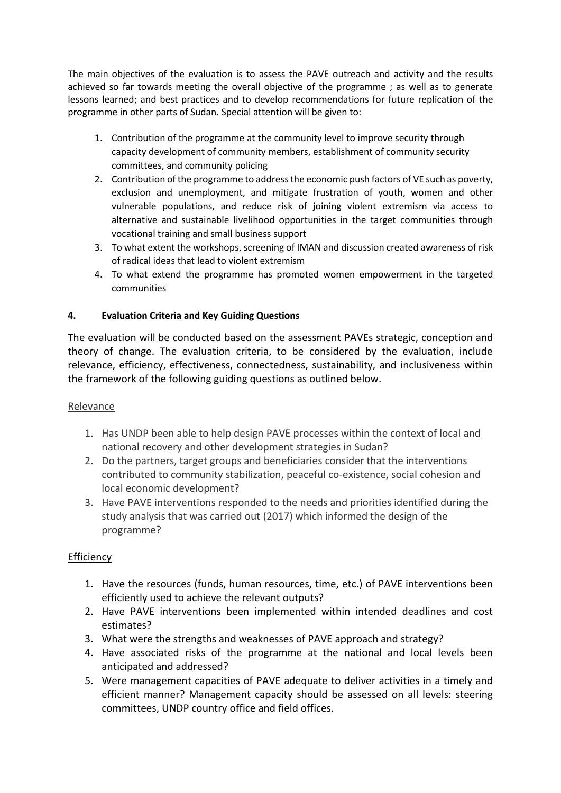The main objectives of the evaluation is to assess the PAVE outreach and activity and the results achieved so far towards meeting the overall objective of the programme ; as well as to generate lessons learned; and best practices and to develop recommendations for future replication of the programme in other parts of Sudan. Special attention will be given to:

- 1. Contribution of the programme at the community level to improve security through capacity development of community members, establishment of community security committees, and community policing
- 2. Contribution of the programme to address the economic push factors of VE such as poverty, exclusion and unemployment, and mitigate frustration of youth, women and other vulnerable populations, and reduce risk of joining violent extremism via access to alternative and sustainable livelihood opportunities in the target communities through vocational training and small business support
- 3. To what extent the workshops, screening of IMAN and discussion created awareness of risk of radical ideas that lead to violent extremism
- 4. To what extend the programme has promoted women empowerment in the targeted communities

## **4. Evaluation Criteria and Key Guiding Questions**

The evaluation will be conducted based on the assessment PAVEs strategic, conception and theory of change. The evaluation criteria, to be considered by the evaluation, include relevance, efficiency, effectiveness, connectedness, sustainability, and inclusiveness within the framework of the following guiding questions as outlined below.

## Relevance

- 1. Has UNDP been able to help design PAVE processes within the context of local and national recovery and other development strategies in Sudan?
- 2. Do the partners, target groups and beneficiaries consider that the interventions contributed to community stabilization, peaceful co-existence, social cohesion and local economic development?
- 3. Have PAVE interventions responded to the needs and priorities identified during the study analysis that was carried out (2017) which informed the design of the programme?

# **Efficiency**

- 1. Have the resources (funds, human resources, time, etc.) of PAVE interventions been efficiently used to achieve the relevant outputs?
- 2. Have PAVE interventions been implemented within intended deadlines and cost estimates?
- 3. What were the strengths and weaknesses of PAVE approach and strategy?
- 4. Have associated risks of the programme at the national and local levels been anticipated and addressed?
- 5. Were management capacities of PAVE adequate to deliver activities in a timely and efficient manner? Management capacity should be assessed on all levels: steering committees, UNDP country office and field offices.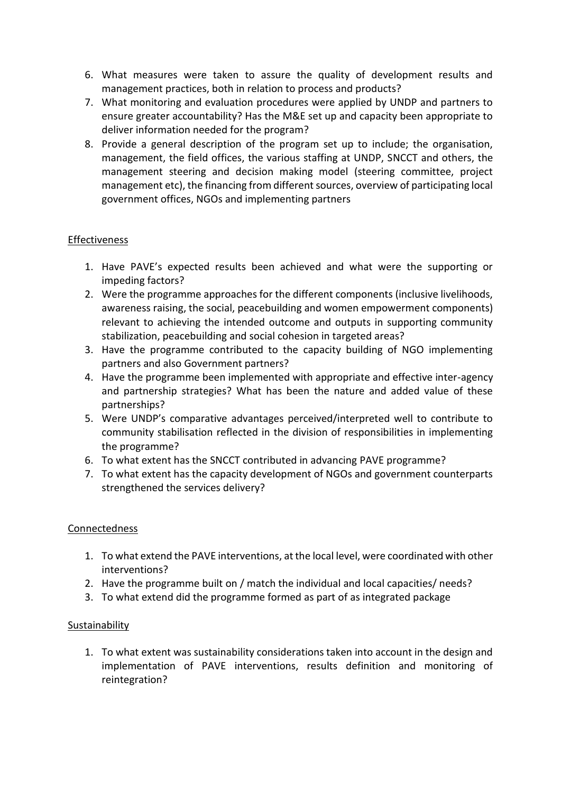- 6. What measures were taken to assure the quality of development results and management practices, both in relation to process and products?
- 7. What monitoring and evaluation procedures were applied by UNDP and partners to ensure greater accountability? Has the M&E set up and capacity been appropriate to deliver information needed for the program?
- 8. Provide a general description of the program set up to include; the organisation, management, the field offices, the various staffing at UNDP, SNCCT and others, the management steering and decision making model (steering committee, project management etc), the financing from different sources, overview of participating local government offices, NGOs and implementing partners

## Effectiveness

- 1. Have PAVE's expected results been achieved and what were the supporting or impeding factors?
- 2. Were the programme approaches for the different components (inclusive livelihoods, awareness raising, the social, peacebuilding and women empowerment components) relevant to achieving the intended outcome and outputs in supporting community stabilization, peacebuilding and social cohesion in targeted areas?
- 3. Have the programme contributed to the capacity building of NGO implementing partners and also Government partners?
- 4. Have the programme been implemented with appropriate and effective inter-agency and partnership strategies? What has been the nature and added value of these partnerships?
- 5. Were UNDP's comparative advantages perceived/interpreted well to contribute to community stabilisation reflected in the division of responsibilities in implementing the programme?
- 6. To what extent has the SNCCT contributed in advancing PAVE programme?
- 7. To what extent has the capacity development of NGOs and government counterparts strengthened the services delivery?

## **Connectedness**

- 1. To what extend the PAVE interventions, at the local level, were coordinated with other interventions?
- 2. Have the programme built on / match the individual and local capacities/ needs?
- 3. To what extend did the programme formed as part of as integrated package

## Sustainability

1. To what extent was sustainability considerations taken into account in the design and implementation of PAVE interventions, results definition and monitoring of reintegration?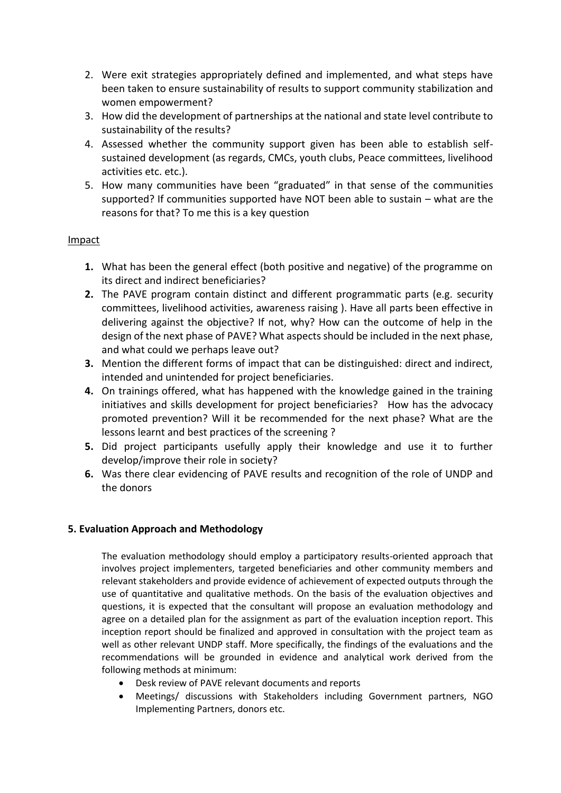- 2. Were exit strategies appropriately defined and implemented, and what steps have been taken to ensure sustainability of results to support community stabilization and women empowerment?
- 3. How did the development of partnerships at the national and state level contribute to sustainability of the results?
- 4. Assessed whether the community support given has been able to establish selfsustained development (as regards, CMCs, youth clubs, Peace committees, livelihood activities etc. etc.).
- 5. How many communities have been "graduated" in that sense of the communities supported? If communities supported have NOT been able to sustain – what are the reasons for that? To me this is a key question

## Impact

- **1.** What has been the general effect (both positive and negative) of the programme on its direct and indirect beneficiaries?
- **2.** The PAVE program contain distinct and different programmatic parts (e.g. security committees, livelihood activities, awareness raising ). Have all parts been effective in delivering against the objective? If not, why? How can the outcome of help in the design of the next phase of PAVE? What aspects should be included in the next phase, and what could we perhaps leave out?
- **3.** Mention the different forms of impact that can be distinguished: direct and indirect, intended and unintended for project beneficiaries.
- **4.** On trainings offered, what has happened with the knowledge gained in the training initiatives and skills development for project beneficiaries? How has the advocacy promoted prevention? Will it be recommended for the next phase? What are the lessons learnt and best practices of the screening ?
- **5.** Did project participants usefully apply their knowledge and use it to further develop/improve their role in society?
- **6.** Was there clear evidencing of PAVE results and recognition of the role of UNDP and the donors

## **5. Evaluation Approach and Methodology**

The evaluation methodology should employ a participatory results-oriented approach that involves project implementers, targeted beneficiaries and other community members and relevant stakeholders and provide evidence of achievement of expected outputs through the use of quantitative and qualitative methods. On the basis of the evaluation objectives and questions, it is expected that the consultant will propose an evaluation methodology and agree on a detailed plan for the assignment as part of the evaluation inception report. This inception report should be finalized and approved in consultation with the project team as well as other relevant UNDP staff. More specifically, the findings of the evaluations and the recommendations will be grounded in evidence and analytical work derived from the following methods at minimum:

- Desk review of PAVE relevant documents and reports
- Meetings/ discussions with Stakeholders including Government partners, NGO Implementing Partners, donors etc.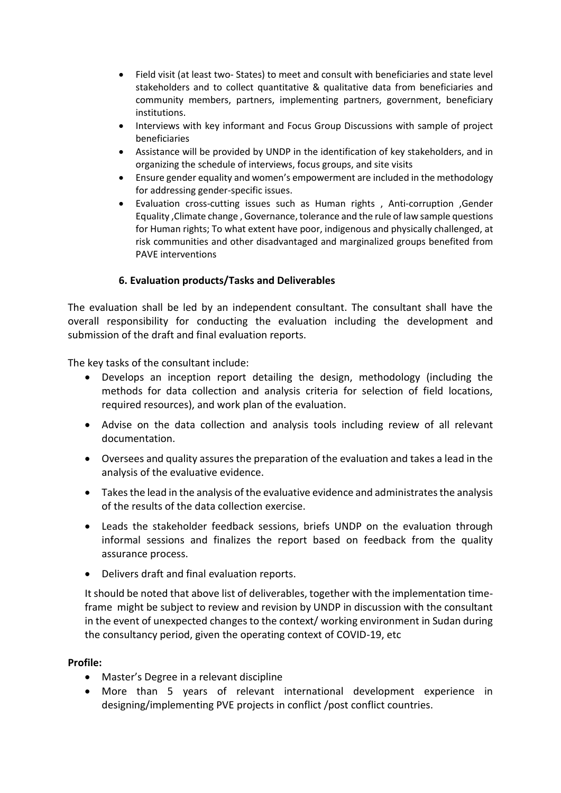- Field visit (at least two- States) to meet and consult with beneficiaries and state level stakeholders and to collect quantitative & qualitative data from beneficiaries and community members, partners, implementing partners, government, beneficiary institutions.
- Interviews with key informant and Focus Group Discussions with sample of project beneficiaries
- Assistance will be provided by UNDP in the identification of key stakeholders, and in organizing the schedule of interviews, focus groups, and site visits
- Ensure gender equality and women's empowerment are included in the methodology for addressing gender-specific issues.
- Evaluation cross-cutting issues such as Human rights , Anti-corruption ,Gender Equality ,Climate change , Governance, tolerance and the rule of law sample questions for Human rights; To what extent have poor, indigenous and physically challenged, at risk communities and other disadvantaged and marginalized groups benefited from PAVE interventions

## **6. Evaluation products/Tasks and Deliverables**

The evaluation shall be led by an independent consultant. The consultant shall have the overall responsibility for conducting the evaluation including the development and submission of the draft and final evaluation reports.

The key tasks of the consultant include:

- Develops an inception report detailing the design, methodology (including the methods for data collection and analysis criteria for selection of field locations, required resources), and work plan of the evaluation.
- Advise on the data collection and analysis tools including review of all relevant documentation.
- Oversees and quality assures the preparation of the evaluation and takes a lead in the analysis of the evaluative evidence.
- Takes the lead in the analysis of the evaluative evidence and administrates the analysis of the results of the data collection exercise.
- Leads the stakeholder feedback sessions, briefs UNDP on the evaluation through informal sessions and finalizes the report based on feedback from the quality assurance process.
- Delivers draft and final evaluation reports.

It should be noted that above list of deliverables, together with the implementation timeframe might be subject to review and revision by UNDP in discussion with the consultant in the event of unexpected changes to the context/ working environment in Sudan during the consultancy period, given the operating context of COVID-19, etc

#### **Profile:**

- Master's Degree in a relevant discipline
- More than 5 years of relevant international development experience in designing/implementing PVE projects in conflict /post conflict countries.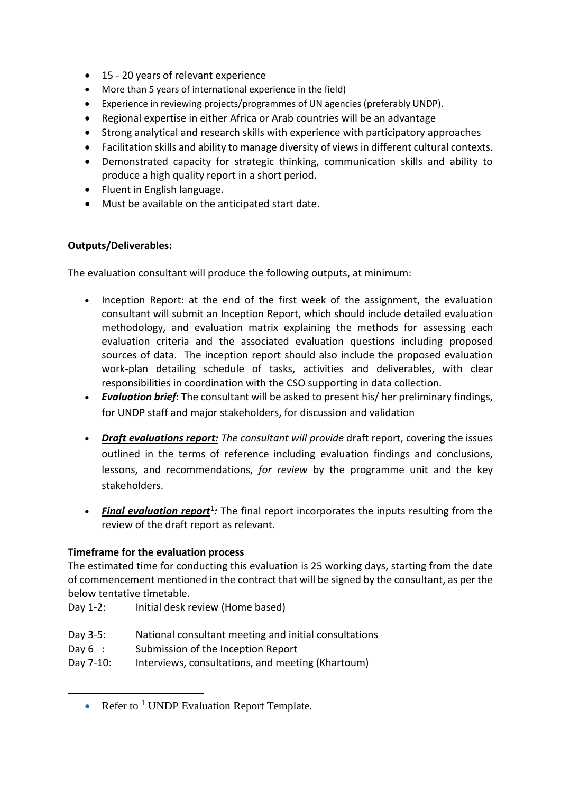- 15 20 years of relevant experience
- More than 5 years of international experience in the field)
- Experience in reviewing projects/programmes of UN agencies (preferably UNDP).
- Regional expertise in either Africa or Arab countries will be an advantage
- Strong analytical and research skills with experience with participatory approaches
- Facilitation skills and ability to manage diversity of views in different cultural contexts.
- Demonstrated capacity for strategic thinking, communication skills and ability to produce a high quality report in a short period.
- Fluent in English language.
- Must be available on the anticipated start date.

## **Outputs/Deliverables:**

The evaluation consultant will produce the following outputs, at minimum:

- Inception Report: at the end of the first week of the assignment, the evaluation consultant will submit an Inception Report, which should include detailed evaluation methodology, and evaluation matrix explaining the methods for assessing each evaluation criteria and the associated evaluation questions including proposed sources of data. The inception report should also include the proposed evaluation work-plan detailing schedule of tasks, activities and deliverables, with clear responsibilities in coordination with the CSO supporting in data collection.
- *Evaluation brief*: The consultant will be asked to present his/ her preliminary findings, for UNDP staff and major stakeholders, for discussion and validation
- *Draft evaluations report: The consultant will provide* draft report, covering the issues outlined in the terms of reference including evaluation findings and conclusions, lessons, and recommendations, *for review* by the programme unit and the key stakeholders.
- Final evaluation report<sup>1</sup>: The final report incorporates the inputs resulting from the review of the draft report as relevant.

## **Timeframe for the evaluation process**

The estimated time for conducting this evaluation is 25 working days, starting from the date of commencement mentioned in the contract that will be signed by the consultant, as per the below tentative timetable.

Day 1-2: Initial desk review (Home based)

- Day 3-5: National consultant meeting and initial consultations
- Day 6 : Submission of the Inception Report
- Day 7-10: Interviews, consultations, and meeting (Khartoum)

<sup>•</sup> Refer to  $1$  UNDP Evaluation Report Template.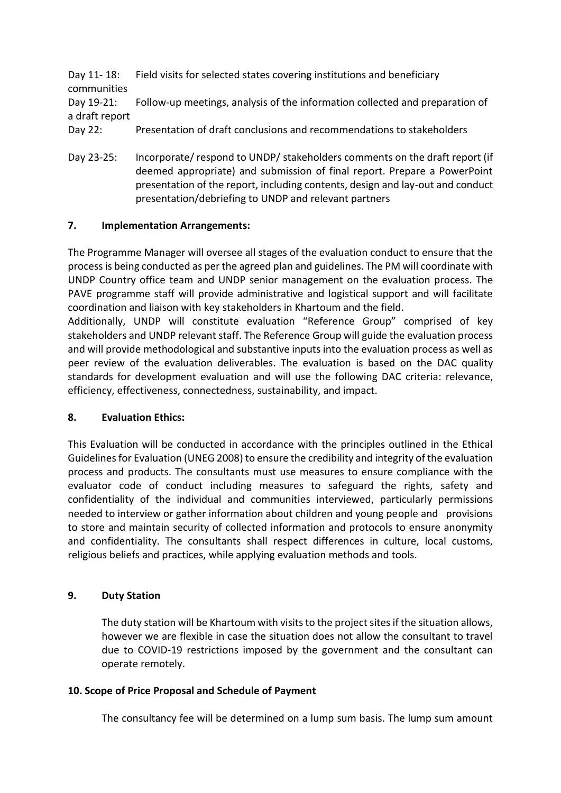|                | Day 11-18: Field visits for selected states covering institutions and beneficiary       |
|----------------|-----------------------------------------------------------------------------------------|
| communities    |                                                                                         |
|                | Day 19-21: Follow-up meetings, analysis of the information collected and preparation of |
| a draft report |                                                                                         |
| Day 22:        | Presentation of draft conclusions and recommendations to stakeholders                   |

Day 23-25: Incorporate/ respond to UNDP/ stakeholders comments on the draft report (if deemed appropriate) and submission of final report. Prepare a PowerPoint presentation of the report, including contents, design and lay-out and conduct presentation/debriefing to UNDP and relevant partners

## **7. Implementation Arrangements:**

The Programme Manager will oversee all stages of the evaluation conduct to ensure that the process is being conducted as per the agreed plan and guidelines. The PM will coordinate with UNDP Country office team and UNDP senior management on the evaluation process. The PAVE programme staff will provide administrative and logistical support and will facilitate coordination and liaison with key stakeholders in Khartoum and the field.

Additionally, UNDP will constitute evaluation "Reference Group" comprised of key stakeholders and UNDP relevant staff. The Reference Group will guide the evaluation process and will provide methodological and substantive inputs into the evaluation process as well as peer review of the evaluation deliverables. The evaluation is based on the DAC quality standards for development evaluation and will use the following DAC criteria: relevance, efficiency, effectiveness, connectedness, sustainability, and impact.

## **8. Evaluation Ethics:**

This Evaluation will be conducted in accordance with the principles outlined in the Ethical Guidelines for Evaluation (UNEG 2008) to ensure the credibility and integrity of the evaluation process and products. The consultants must use measures to ensure compliance with the evaluator code of conduct including measures to safeguard the rights, safety and confidentiality of the individual and communities interviewed, particularly permissions needed to interview or gather information about children and young people and provisions to store and maintain security of collected information and protocols to ensure anonymity and confidentiality. The consultants shall respect differences in culture, local customs, religious beliefs and practices, while applying evaluation methods and tools.

## **9. Duty Station**

The duty station will be Khartoum with visits to the project sites if the situation allows, however we are flexible in case the situation does not allow the consultant to travel due to COVID-19 restrictions imposed by the government and the consultant can operate remotely.

## **10. Scope of Price Proposal and Schedule of Payment**

The consultancy fee will be determined on a lump sum basis. The lump sum amount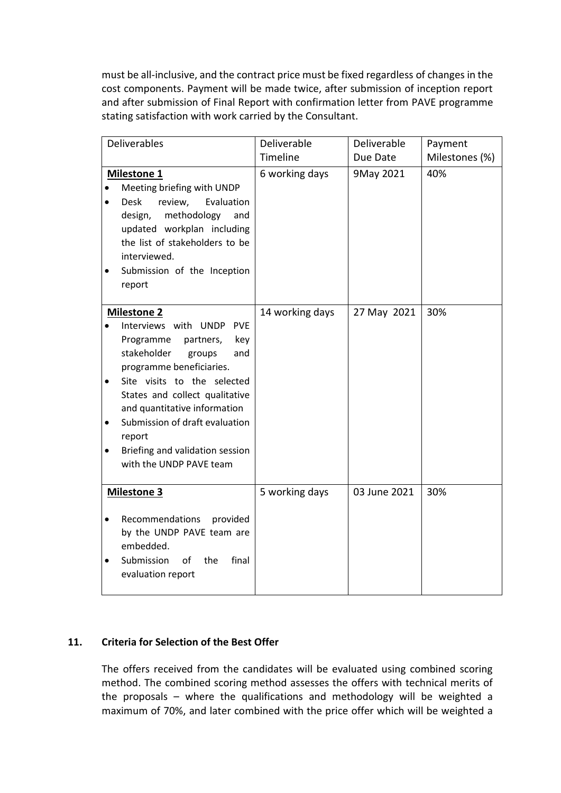must be all-inclusive, and the contract price must be fixed regardless of changes in the cost components. Payment will be made twice, after submission of inception report and after submission of Final Report with confirmation letter from PAVE programme stating satisfaction with work carried by the Consultant.

|                                     | Deliverables                                                                                                                                                                                                                                                                                                                                                     | Deliverable     | Deliverable  | Payment        |
|-------------------------------------|------------------------------------------------------------------------------------------------------------------------------------------------------------------------------------------------------------------------------------------------------------------------------------------------------------------------------------------------------------------|-----------------|--------------|----------------|
|                                     |                                                                                                                                                                                                                                                                                                                                                                  | Timeline        | Due Date     | Milestones (%) |
| $\bullet$                           | <b>Milestone 1</b><br>Meeting briefing with UNDP<br><b>Desk</b><br>review,<br>Evaluation<br>design,<br>methodology<br>and<br>updated workplan including<br>the list of stakeholders to be<br>interviewed.<br>Submission of the Inception<br>report                                                                                                               | 6 working days  | 9May 2021    | 40%            |
| $\bullet$<br>$\bullet$<br>$\bullet$ | <b>Milestone 2</b><br>Interviews with UNDP<br><b>PVE</b><br>partners,<br>key<br>Programme<br>stakeholder<br>and<br>groups<br>programme beneficiaries.<br>Site visits to the selected<br>States and collect qualitative<br>and quantitative information<br>Submission of draft evaluation<br>report<br>Briefing and validation session<br>with the UNDP PAVE team | 14 working days | 27 May 2021  | 30%            |
| $\bullet$                           | <b>Milestone 3</b><br>Recommendations<br>provided<br>by the UNDP PAVE team are<br>embedded.<br>Submission<br>of<br>the<br>final<br>evaluation report                                                                                                                                                                                                             | 5 working days  | 03 June 2021 | 30%            |

# **11. Criteria for Selection of the Best Offer**

The offers received from the candidates will be evaluated using combined scoring method. The combined scoring method assesses the offers with technical merits of the proposals – where the qualifications and methodology will be weighted a maximum of 70%, and later combined with the price offer which will be weighted a